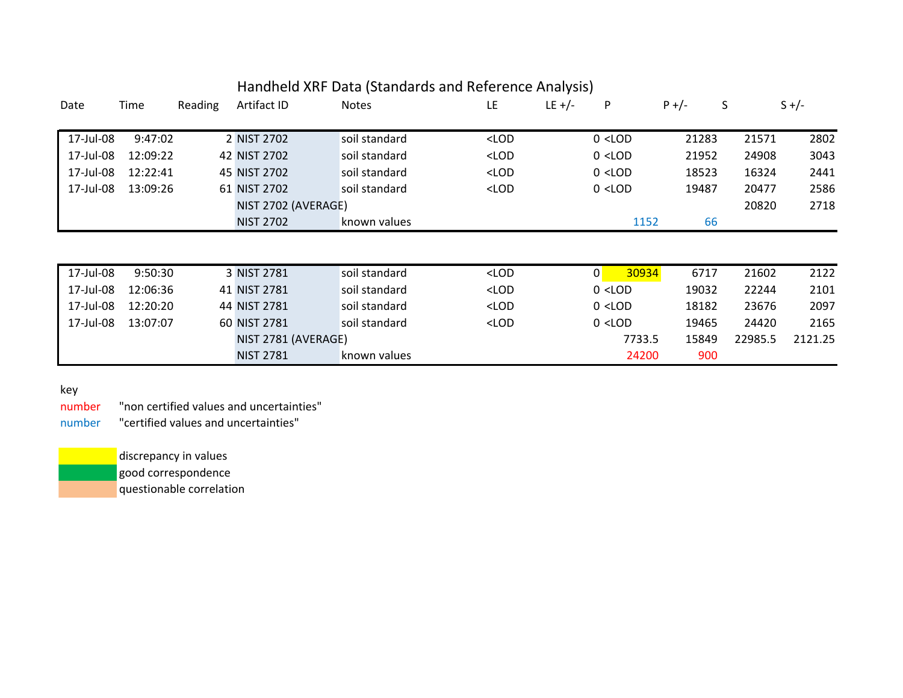|           |          |         |                     | Handheld XRF Data (Standards and Reference Analysis) |                                                                                                       |           |             |                 |         |         |
|-----------|----------|---------|---------------------|------------------------------------------------------|-------------------------------------------------------------------------------------------------------|-----------|-------------|-----------------|---------|---------|
| Date      | Time     | Reading | Artifact ID         | <b>Notes</b>                                         | <b>LE</b>                                                                                             | LE $+/-$  | P           | S<br>$P +/-$    |         | $S +/-$ |
|           |          |         |                     |                                                      |                                                                                                       |           |             |                 |         |         |
| 17-Jul-08 | 9:47:02  |         | 2 NIST 2702         | soil standard                                        | $<$ LOD                                                                                               |           | $0$ < LOD   | 21283           | 21571   | 2802    |
| 17-Jul-08 | 12:09:22 |         | 42 NIST 2702        | soil standard                                        | $<$ LOD                                                                                               |           | $0$ < LOD   | 21952           | 24908   | 3043    |
| 17-Jul-08 | 12:22:41 |         | 45 NIST 2702        | soil standard                                        | <lod< td=""><td></td><td><math>0</math> &lt; LOD</td><td>18523</td><td>16324</td><td>2441</td></lod<> |           | $0$ < LOD   | 18523           | 16324   | 2441    |
| 17-Jul-08 | 13:09:26 |         | 61 NIST 2702        | soil standard<br>$<$ LOD                             |                                                                                                       | $0$ < LOD | 19487       | 20477           | 2586    |         |
|           |          |         | NIST 2702 (AVERAGE) |                                                      |                                                                                                       |           |             |                 | 20820   | 2718    |
|           |          |         | <b>NIST 2702</b>    | known values                                         |                                                                                                       |           | 1152        | 66              |         |         |
|           |          |         |                     |                                                      |                                                                                                       |           |             |                 |         |         |
|           |          |         |                     |                                                      |                                                                                                       |           |             |                 |         |         |
| 17-Jul-08 | 9:50:30  |         | 3 NIST 2781         | soil standard                                        | <lod< td=""><td></td><td> 0 <br/>30934</td><td>6717</td><td>21602</td><td>2122</td></lod<>            |           | 0 <br>30934 | 6717            | 21602   | 2122    |
| 17-Jul-08 | 12:06:36 |         | 41 NIST 2781        | soil standard                                        | $<$ LOD                                                                                               |           | $0$ < LOD   | 19032           | 22244   | 2101    |
| 17-Jul-08 | 12:20:20 |         | 44 NIST 2781        | soil standard                                        | $<$ LOD                                                                                               |           | $0$ < LOD   | 18182           | 23676   | 2097    |
| 17-Jul-08 | 13:07:07 |         | 60 NIST 2781        | soil standard                                        | $<$ LOD                                                                                               |           | $0$ < LOD   | 19465           | 24420   | 2165    |
|           |          |         |                     | NIST 2781 (AVERAGE)                                  |                                                                                                       |           |             | 7733.5<br>15849 | 22985.5 | 2121.25 |
|           |          |         | <b>NIST 2781</b>    | known values                                         |                                                                                                       |           | 24200       | 900             |         |         |

## key

number "non certified values and uncertainties" number "certified values and uncertainties"

> discrepancy in values good correspondence questionable correlation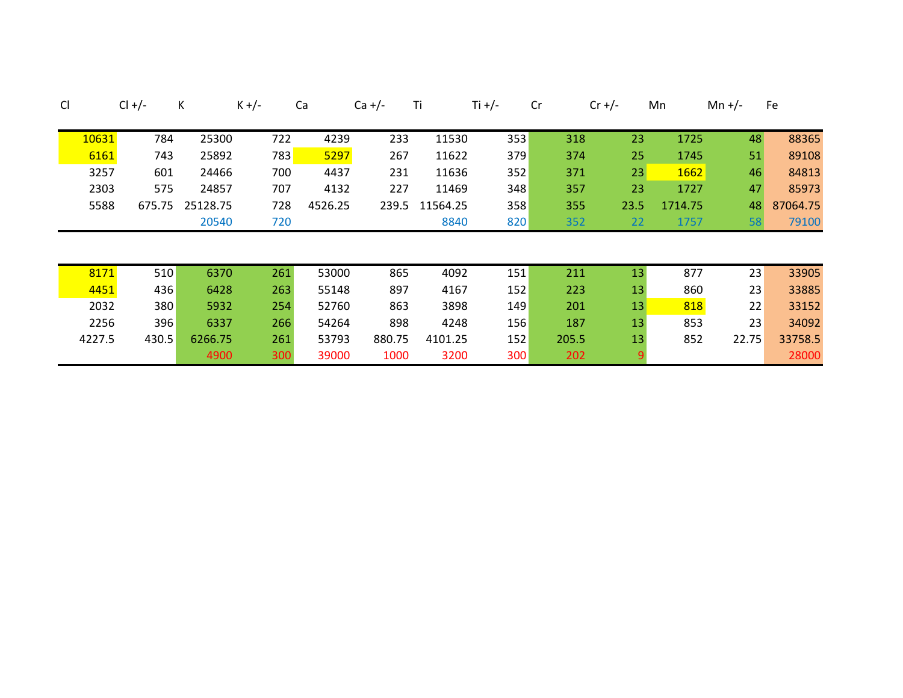| CI |        | $Cl +/-$ | K        | $K +/-$ | Ca      | $Ca +/-$ | Τi       | Ti +/- | Cr    | $Cr +/-$ | Mn      | Mn +/- | Fe       |
|----|--------|----------|----------|---------|---------|----------|----------|--------|-------|----------|---------|--------|----------|
|    | 10631  | 784      | 25300    | 722     | 4239    | 233      | 11530    | 353    | 318   | 23       | 1725    | 48     | 88365    |
|    | 6161   | 743      | 25892    | 783     | 5297    | 267      | 11622    | 379    | 374   | 25       | 1745    | 51     | 89108    |
|    | 3257   | 601      | 24466    | 700     | 4437    | 231      | 11636    | 352    | 371   | 23       | 1662    | 46     | 84813    |
|    | 2303   | 575      | 24857    | 707     | 4132    | 227      | 11469    | 348    | 357   | 23       | 1727    | 47     | 85973    |
|    | 5588   | 675.75   | 25128.75 | 728     | 4526.25 | 239.5    | 11564.25 | 358    | 355   | 23.5     | 1714.75 | 48     | 87064.75 |
|    |        |          | 20540    | 720     |         |          | 8840     | 820    | 352   | 22       | 1757    | 58     | 79100    |
|    |        |          |          |         |         |          |          |        |       |          |         |        |          |
|    |        |          |          |         |         |          |          |        |       | 13       |         |        |          |
|    | 8171   | 510      | 6370     | 261     | 53000   | 865      | 4092     | 151    | 211   |          | 877     | 23     | 33905    |
|    | 4451   | 436      | 6428     | 263     | 55148   | 897      | 4167     | 152    | 223   | 13       | 860     | 23     | 33885    |
|    | 2032   | 380      | 5932     | 254     | 52760   | 863      | 3898     | 149    | 201   | 13       | 818     | 22     | 33152    |
|    | 2256   | 396      | 6337     | 266     | 54264   | 898      | 4248     | 156    | 187   | 13       | 853     | 23     | 34092    |
|    | 4227.5 | 430.5    | 6266.75  | 261     | 53793   | 880.75   | 4101.25  | 152    | 205.5 | 13       | 852     | 22.75  | 33758.5  |
|    |        |          | 4900     | 300     | 39000   | 1000     | 3200     | 300    | 202   |          |         |        | 28000    |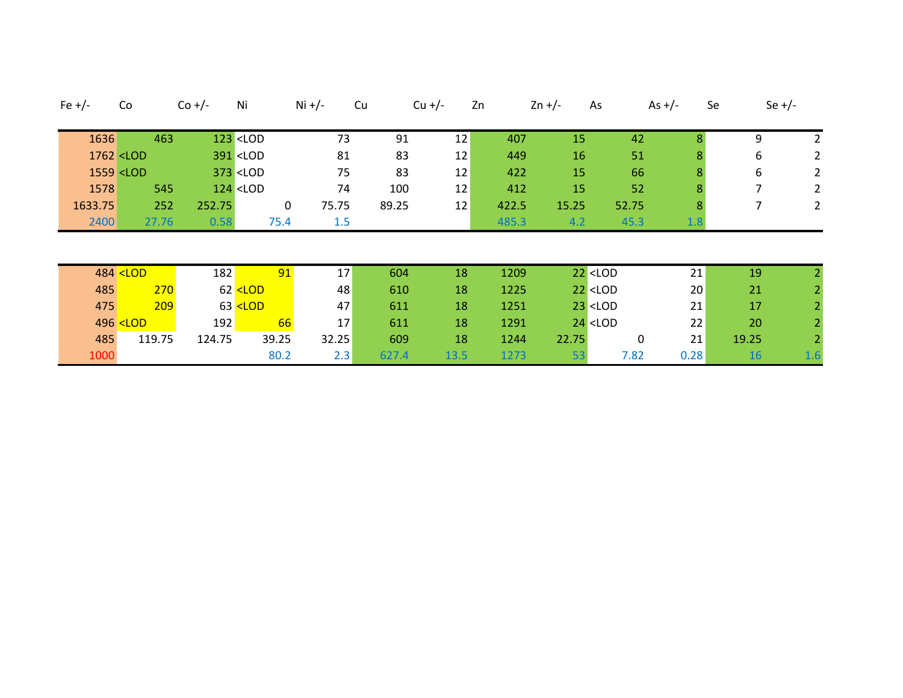| Fe $+/-$ |         | Co                                                                                                                                                                                                                       | $Co +/-$ | Ni                                                                                                                                                                          |             | Ni +/- | Cu    | $Cu + / -$ | Zn |       | $2n +/-$ | As                                                      | As $+/-$ | Se             | Se $+/-$       |
|----------|---------|--------------------------------------------------------------------------------------------------------------------------------------------------------------------------------------------------------------------------|----------|-----------------------------------------------------------------------------------------------------------------------------------------------------------------------------|-------------|--------|-------|------------|----|-------|----------|---------------------------------------------------------|----------|----------------|----------------|
|          |         |                                                                                                                                                                                                                          |          |                                                                                                                                                                             |             |        |       |            |    |       |          |                                                         |          |                |                |
|          | 1636    | 463                                                                                                                                                                                                                      |          | $123$ <lod< td=""><td></td><td>73</td><td>91</td><td>12</td><td></td><td>407</td><td>15</td><td>42</td><td></td><td>9</td><td><math>\overline{2}</math></td></lod<>         |             | 73     | 91    | 12         |    | 407   | 15       | 42                                                      |          | 9              | $\overline{2}$ |
|          |         | 1762 <lod< td=""><td></td><td>391 <lod< td=""><td></td><td>81</td><td>83</td><td>12</td><td></td><td>449</td><td>16</td><td>51</td><td>8</td><td>6</td><td>2</td></lod<></td></lod<>                                     |          | 391 <lod< td=""><td></td><td>81</td><td>83</td><td>12</td><td></td><td>449</td><td>16</td><td>51</td><td>8</td><td>6</td><td>2</td></lod<>                                  |             | 81     | 83    | 12         |    | 449   | 16       | 51                                                      | 8        | 6              | 2              |
|          |         | 1559 <lod< td=""><td></td><td><math>373</math> <lod< td=""><td></td><td>75</td><td>83</td><td>12</td><td></td><td>422</td><td>15</td><td>66</td><td></td><td>6</td><td><math>\overline{2}</math></td></lod<></td></lod<> |          | $373$ <lod< td=""><td></td><td>75</td><td>83</td><td>12</td><td></td><td>422</td><td>15</td><td>66</td><td></td><td>6</td><td><math>\overline{2}</math></td></lod<>         |             | 75     | 83    | 12         |    | 422   | 15       | 66                                                      |          | 6              | $\overline{2}$ |
|          | 1578    | 545                                                                                                                                                                                                                      |          | $124$ <lod< td=""><td></td><td>74</td><td>100</td><td>12</td><td></td><td>412</td><td>15</td><td>52</td><td></td><td><math>\overline{7}</math></td><td>2</td></lod<>        |             | 74     | 100   | 12         |    | 412   | 15       | 52                                                      |          | $\overline{7}$ | 2              |
|          | 1633.75 | 252                                                                                                                                                                                                                      | 252.75   |                                                                                                                                                                             | $\mathbf 0$ | 75.75  | 89.25 | 12         |    | 422.5 | 15.25    | 52.75                                                   | 8        | 7              | 2              |
|          | 2400    | 27.76                                                                                                                                                                                                                    | 0.58     |                                                                                                                                                                             | 75.4        | 1.5    |       |            |    | 485.3 | 4.2      | 45.3                                                    | 1.8      |                |                |
|          |         |                                                                                                                                                                                                                          |          |                                                                                                                                                                             |             |        |       |            |    |       |          |                                                         |          |                |                |
|          |         |                                                                                                                                                                                                                          |          |                                                                                                                                                                             |             |        |       |            |    |       |          |                                                         |          |                |                |
|          |         | 484 <lod< td=""><td>182</td><td></td><td>91</td><td>17</td><td>604</td><td>18</td><td></td><td>1209</td><td></td><td><math>22</math> &lt; LOD</td><td>21</td><td>19</td><td></td></lod<>                                 | 182      |                                                                                                                                                                             | 91          | 17     | 604   | 18         |    | 1209  |          | $22$ < LOD                                              | 21       | 19             |                |
|          | 485     | 270                                                                                                                                                                                                                      |          | 62 <lod< td=""><td></td><td>48</td><td>610</td><td>18</td><td></td><td>1225</td><td></td><td><math>22</math> &lt; LOD</td><td>20</td><td>21</td><td></td></lod<>            |             | 48     | 610   | 18         |    | 1225  |          | $22$ < LOD                                              | 20       | 21             |                |
|          | 475     | 209                                                                                                                                                                                                                      |          | 63 <lod< td=""><td></td><td>47</td><td>611</td><td>18</td><td></td><td>1251</td><td></td><td><math>23</math> <lod< td=""><td>21</td><td>17</td><td></td></lod<></td></lod<> |             | 47     | 611   | 18         |    | 1251  |          | $23$ <lod< td=""><td>21</td><td>17</td><td></td></lod<> | 21       | 17             |                |
|          |         | 496 <lod< td=""><td>192</td><td></td><td>66</td><td>17</td><td>611</td><td>18</td><td></td><td>1291</td><td></td><td><math>24</math> &lt; LOD</td><td>22</td><td>20</td><td></td></lod<>                                 | 192      |                                                                                                                                                                             | 66          | 17     | 611   | 18         |    | 1291  |          | $24$ < LOD                                              | 22       | 20             |                |
|          | 485     | 119.75                                                                                                                                                                                                                   | 124.75   |                                                                                                                                                                             | 39.25       | 32.25  | 609   | 18         |    | 1244  | 22.75    | 0                                                       | 21       | 19.25          |                |
|          | 1000    |                                                                                                                                                                                                                          |          |                                                                                                                                                                             | 80.2        | 2.3    | 627.4 | 13.5       |    | 1273  | 53       | 7.82                                                    | 0.28     | 16             | 1.6            |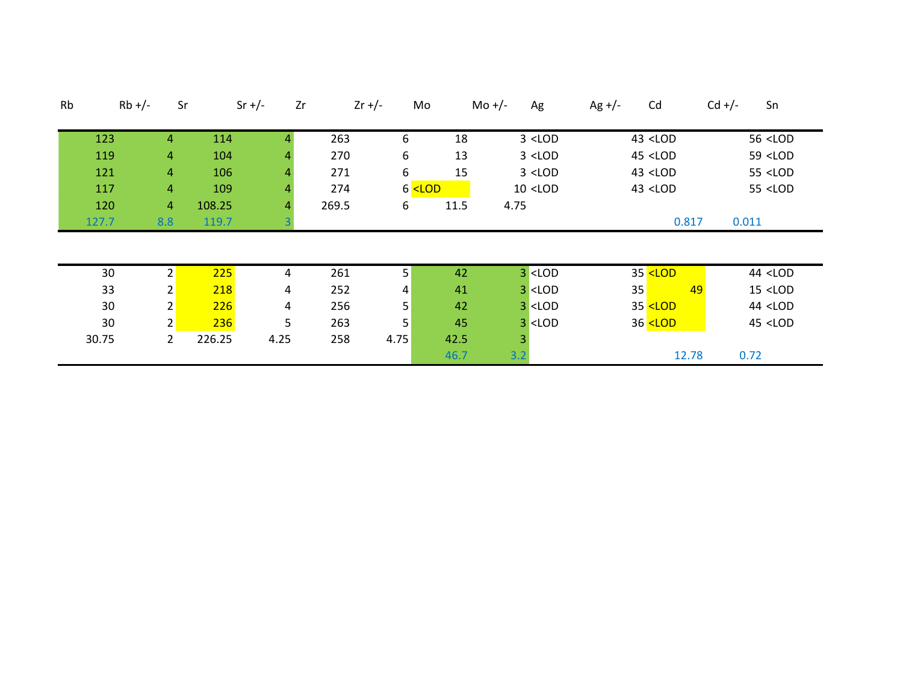| Rb | $Rb +/-$ | Sr             |        | Zr<br>$Sr +/-$ | $2r +/-$ | Mo                                                                                                                                                           |      | Mo $+/-$<br>Ag                                                                                            | $Ag +/-$ | Cd                                                               | $Cd +/-$ | Sn                     |
|----|----------|----------------|--------|----------------|----------|--------------------------------------------------------------------------------------------------------------------------------------------------------------|------|-----------------------------------------------------------------------------------------------------------|----------|------------------------------------------------------------------|----------|------------------------|
|    |          |                |        |                |          |                                                                                                                                                              |      |                                                                                                           |          |                                                                  |          |                        |
|    | 123      | 4              | 114    | 4              | 263      | 6                                                                                                                                                            | 18   | $3$ <lod< td=""><td></td><td>43 <lod< td=""><td></td><td>56 <lod< td=""></lod<></td></lod<></td></lod<>   |          | 43 <lod< td=""><td></td><td>56 <lod< td=""></lod<></td></lod<>   |          | 56 <lod< td=""></lod<> |
|    | 119      | 4              | 104    | 4              | 270      | 6                                                                                                                                                            | 13   | $3$ <lod< td=""><td></td><td>45 <lod< td=""><td></td><td>59 <lod< td=""></lod<></td></lod<></td></lod<>   |          | 45 <lod< td=""><td></td><td>59 <lod< td=""></lod<></td></lod<>   |          | 59 <lod< td=""></lod<> |
|    | 121      | 4              | 106    | 4              | 271      | 6                                                                                                                                                            | 15   | $3$ <lod< td=""><td></td><td>43 <lod< td=""><td></td><td>55 <lod< td=""></lod<></td></lod<></td></lod<>   |          | 43 <lod< td=""><td></td><td>55 <lod< td=""></lod<></td></lod<>   |          | 55 <lod< td=""></lod<> |
|    | 117      | 4              | 109    | 4              | 274      | $6$ <lod< td=""><td></td><td><math>10</math> <lod< td=""><td></td><td>43 <lod< td=""><td></td><td>55 <lod< td=""></lod<></td></lod<></td></lod<></td></lod<> |      | $10$ <lod< td=""><td></td><td>43 <lod< td=""><td></td><td>55 <lod< td=""></lod<></td></lod<></td></lod<>  |          | 43 <lod< td=""><td></td><td>55 <lod< td=""></lod<></td></lod<>   |          | 55 <lod< td=""></lod<> |
|    | 120      | $\overline{4}$ | 108.25 | 4              | 269.5    | 6                                                                                                                                                            | 11.5 | 4.75                                                                                                      |          |                                                                  |          |                        |
|    | 127.7    | 8.8            | 119.7  |                |          |                                                                                                                                                              |      |                                                                                                           |          | 0.817                                                            | 0.011    |                        |
|    |          |                |        |                |          |                                                                                                                                                              |      |                                                                                                           |          |                                                                  |          |                        |
|    |          |                |        |                |          |                                                                                                                                                              |      |                                                                                                           |          |                                                                  |          |                        |
|    | 30       | $\overline{2}$ | 225    | 4              | 261      | 5                                                                                                                                                            | 42   | $3$ <lod< td=""><td></td><td>35 <lod< td=""><td></td><td>44 <lod< td=""></lod<></td></lod<></td></lod<>   |          | 35 <lod< td=""><td></td><td>44 <lod< td=""></lod<></td></lod<>   |          | 44 <lod< td=""></lod<> |
|    | 33       | 2              | 218    | 4              | 252      | 4                                                                                                                                                            | 41   | $3$ <lod< td=""><td>35</td><td>49</td><td></td><td><math>15</math> &lt; LOD</td></lod<>                   | 35       | 49                                                               |          | $15$ < LOD             |
|    | 30       | 2              | 226    | 4              | 256      | 5                                                                                                                                                            | 42   | $3$ <lod< td=""><td></td><td>35 <lod< td=""><td></td><td>44 <lod< td=""></lod<></td></lod<></td></lod<>   |          | 35 <lod< td=""><td></td><td>44 <lod< td=""></lod<></td></lod<>   |          | 44 <lod< td=""></lod<> |
|    | 30       | 2 <sub>1</sub> | 236    | 5              | 263      | 5                                                                                                                                                            | 45   | $3$ <lod< td=""><td></td><td>36 <lod< td=""><td></td><td><math>45</math> &lt; LOD</td></lod<></td></lod<> |          | 36 <lod< td=""><td></td><td><math>45</math> &lt; LOD</td></lod<> |          | $45$ < LOD             |
|    | 30.75    | $\overline{2}$ | 226.25 | 4.25           | 258      | 4.75                                                                                                                                                         | 42.5 | 3                                                                                                         |          |                                                                  |          |                        |
|    |          |                |        |                |          |                                                                                                                                                              | 46.7 | 3.2                                                                                                       |          | 12.78                                                            |          | 0.72                   |